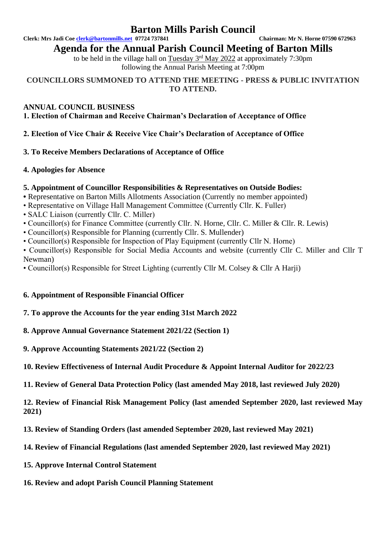# **Barton Mills Parish Council**

**Clerk: Mrs Jadi Coe [clerk@bartonmills.net](mailto:clerk@bartonmills.net) 07724 737841 Chairman: Mr N. Horne 07590 672963**

**Agenda for the Annual Parish Council Meeting of Barton Mills** 

to be held in the village hall on  $Tuesday$   $3<sup>rd</sup>$  May 2022 at approximately 7:30pm following the Annual Parish Meeting at 7:00pm

**COUNCILLORS SUMMONED TO ATTEND THE MEETING - PRESS & PUBLIC INVITATION TO ATTEND.**

# **ANNUAL COUNCIL BUSINESS**

**1. Election of Chairman and Receive Chairman's Declaration of Acceptance of Office** 

**2. Election of Vice Chair & Receive Vice Chair's Declaration of Acceptance of Office** 

# **3. To Receive Members Declarations of Acceptance of Office**

# **4. Apologies for Absence**

# **5. Appointment of Councillor Responsibilities & Representatives on Outside Bodies:**

**•** Representative on Barton Mills Allotments Association (Currently no member appointed)

- Representative on Village Hall Management Committee (Currently Cllr. K. Fuller)
- SALC Liaison (currently Cllr. C. Miller)
- Councillor(s) for Finance Committee (currently Cllr. N. Horne, Cllr. C. Miller & Cllr. R. Lewis)
- Councillor(s) Responsible for Planning (currently Cllr. S. Mullender)
- Councillor(s) Responsible for Inspection of Play Equipment (currently Cllr N. Horne)

• Councillor(s) Responsible for Social Media Accounts and website (currently Cllr C. Miller and Cllr T Newman)

• Councillor(s) Responsible for Street Lighting (currently Cllr M. Colsey & Cllr A Harji)

# **6. Appointment of Responsible Financial Officer**

# **7. To approve the Accounts for the year ending 31st March 2022**

**8. Approve Annual Governance Statement 2021/22 (Section 1)** 

- **9. Approve Accounting Statements 2021/22 (Section 2)**
- **10. Review Effectiveness of Internal Audit Procedure & Appoint Internal Auditor for 2022/23**

**11. Review of General Data Protection Policy (last amended May 2018, last reviewed July 2020)**

**12. Review of Financial Risk Management Policy (last amended September 2020, last reviewed May 2021)**

- **13. Review of Standing Orders (last amended September 2020, last reviewed May 2021)**
- **14. Review of Financial Regulations (last amended September 2020, last reviewed May 2021)**
- **15. Approve Internal Control Statement**
- **16. Review and adopt Parish Council Planning Statement**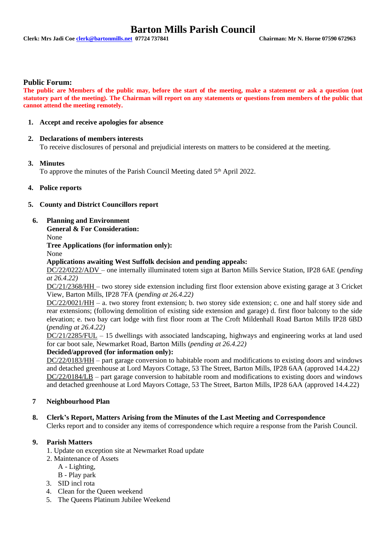# **Barton Mills Parish Council**

#### **Public Forum:**

**The public are Members of the public may, before the start of the meeting, make a statement or ask a question (not statutory part of the meeting). The Chairman will report on any statements or questions from members of the public that cannot attend the meeting remotely.**

#### **1. Accept and receive apologies for absence**

## **2. Declarations of members interests**

To receive disclosures of personal and prejudicial interests on matters to be considered at the meeting.

#### **3. Minutes**

To approve the minutes of the Parish Council Meeting dated 5<sup>th</sup> April 2022.

#### **4. Police reports**

#### **5. County and District Councillors report**

#### **6. Planning and Environment**

**General & For Consideration:**

None

**Tree Applications (for information only):**

None

#### **Applications awaiting West Suffolk decision and pending appeals:**

DC/22/0222/ADV – one internally illuminated totem sign at Barton Mills Service Station, IP28 6AE (*pending at 26.4.22)*

DC/21/2368/HH – two storey side extension including first floor extension above existing garage at 3 Cricket View, Barton Mills, IP28 7FA (*pending at 26.4.22)*

DC/22/0021/HH – a. two storey front extension; b. two storey side extension; c. one and half storey side and rear extensions; (following demolition of existing side extension and garage) d. first floor balcony to the side elevation; e. two bay cart lodge with first floor room at The Croft Mildenhall Road Barton Mills IP28 6BD (*pending at 26.4.22)*

DC/21/2285/FUL – 15 dwellings with associated landscaping, highways and engineering works at land used for car boot sale, Newmarket Road, Barton Mills (*pending at 26.4.22)*

## **Decided/approved (for information only):**

DC/22/0183/HH – part garage conversion to habitable room and modifications to existing doors and windows and detached greenhouse at Lord Mayors Cottage, 53 The Street, Barton Mills, IP28 6AA (approved 14.4.22*)* DC/22/0184/LB – part garage conversion to habitable room and modifications to existing doors and windows and detached greenhouse at Lord Mayors Cottage, 53 The Street, Barton Mills, IP28 6AA (approved 14.4.22)

## **7 Neighbourhood Plan**

## **8. Clerk's Report, Matters Arising from the Minutes of the Last Meeting and Correspondence**

Clerks report and to consider any items of correspondence which require a response from the Parish Council.

## **9. Parish Matters**

- 1. Update on exception site at Newmarket Road update
- 2. Maintenance of Assets
	- A Lighting,
	- B Play park
- 3. SID incl rota
- 4. Clean for the Queen weekend
- 5. The Queens Platinum Jubilee Weekend